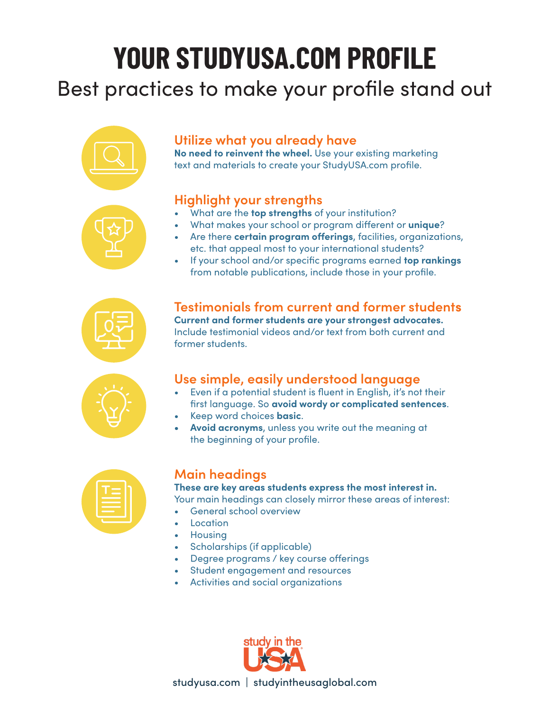# **YOUR STUDYUSA.COM PROFILE**

# Best practices to make your profile stand out





**No need to reinvent the wheel.** Use your existing marketing text and materials to create your StudyUSA.com profile.

# **Highlight your strengths**

- What are the **top strengths** of your institution?
- What makes your school or program different or **unique**?
- Are there **certain program offerings**, facilities, organizations, etc. that appeal most to your international students?
- If your school and/or specific programs earned **top rankings** from notable publications, include those in your profile.

**Testimonials from current and former students Current and former students are your strongest advocates.** Include testimonial videos and/or text from both current and former students.

## **Use simple, easily understood language**

- Even if a potential student is fluent in English, it's not their first language. So **avoid wordy or complicated sentences**.
- Keep word choices **basic**.
- **• Avoid acronyms**, unless you write out the meaning at the beginning of your profile.

# **Main headings**

**These are key areas students express the most interest in.**  Your main headings can closely mirror these areas of interest:

- General school overview
- **Location**
- **Housing**
- Scholarships (if applicable)
- Degree programs / key course offerings
- Student engagement and resources
- Activities and social organizations